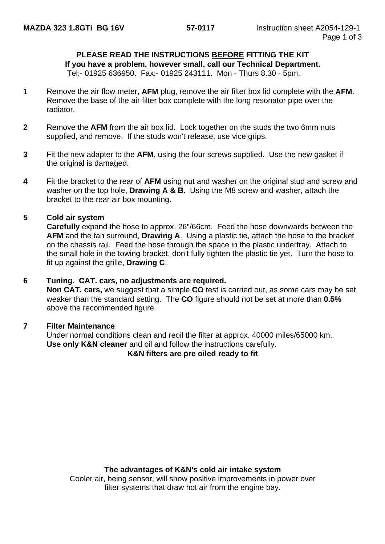#### **PLEASE READ THE INSTRUCTIONS BEFORE FITTING THE KIT**

**If you have a problem, however small, call our Technical Department.**

Tel:- 01925 636950. Fax:- 01925 243111. Mon - Thurs 8.30 - 5pm.

- **1** Remove the air flow meter, **AFM** plug, remove the air filter box lid complete with the **AFM**. Remove the base of the air filter box complete with the long resonator pipe over the radiator.
- **2** Remove the **AFM** from the air box lid. Lock together on the studs the two 6mm nuts supplied, and remove. If the studs won't release, use vice grips.
- **3** Fit the new adapter to the **AFM**, using the four screws supplied. Use the new gasket if the original is damaged.
- **4** Fit the bracket to the rear of **AFM** using nut and washer on the original stud and screw and washer on the top hole, **Drawing A & B**. Using the M8 screw and washer, attach the bracket to the rear air box mounting.

#### **5 Cold air system**

**Carefully** expand the hose to approx. 26"/66cm. Feed the hose downwards between the **AFM** and the fan surround, **Drawing A**. Using a plastic tie, attach the hose to the bracket on the chassis rail. Feed the hose through the space in the plastic undertray. Attach to the small hole in the towing bracket, don't fully tighten the plastic tie yet. Turn the hose to fit up against the grille, **Drawing C**.

#### **6 Tuning. CAT. cars, no adjustments are required.**

**Non CAT. cars,** we suggest that a simple **CO** test is carried out, as some cars may be set weaker than the standard setting. The **CO** figure should not be set at more than **0.5%** above the recommended figure.

#### **7 Filter Maintenance**

Under normal conditions clean and reoil the filter at approx. 40000 miles/65000 km. **Use only K&N cleaner** and oil and follow the instructions carefully.

**K&N filters are pre oiled ready to fit**

#### **The advantages of K&N's cold air intake system**

Cooler air, being sensor, will show positive improvements in power over filter systems that draw hot air from the engine bay.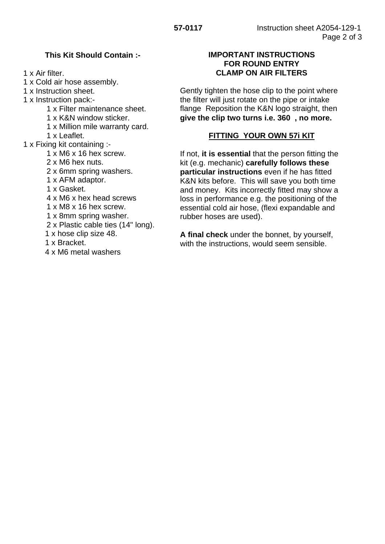## **This Kit Should Contain :-**

1 x Air filter.

- 1 x Cold air hose assembly.
- 1 x Instruction sheet.
- 1 x Instruction pack:-
	- 1 x Filter maintenance sheet.
	- 1 x K&N window sticker.
	- 1 x Million mile warranty card.
	- 1 x Leaflet.
- 1 x Fixing kit containing :-
	- 1 x M6 x 16 hex screw.
	- 2 x M6 hex nuts.
	- 2 x 6mm spring washers.
	- 1 x AFM adaptor.
	- 1 x Gasket.
	- 4 x M6 x hex head screws
	- 1 x M8 x 16 hex screw.
	- 1 x 8mm spring washer.
	- 2 x Plastic cable ties (14" long).
	- 1 x hose clip size 48.
	- 1 x Bracket.
	- 4 x M6 metal washers

### **IMPORTANT INSTRUCTIONS FOR ROUND ENTRY CLAMP ON AIR FILTERS**

Gently tighten the hose clip to the point where the filter will just rotate on the pipe or intake flange Reposition the K&N logo straight, then **give the clip two turns i.e. 360 , no more.**

# **FITTING YOUR OWN 57i KIT**

If not, **it is essential** that the person fitting the kit (e.g. mechanic) **carefully follows these particular instructions** even if he has fitted K&N kits before. This will save you both time and money. Kits incorrectly fitted may show a loss in performance e.g. the positioning of the essential cold air hose, (flexi expandable and rubber hoses are used).

**A final check** under the bonnet, by yourself, with the instructions, would seem sensible.